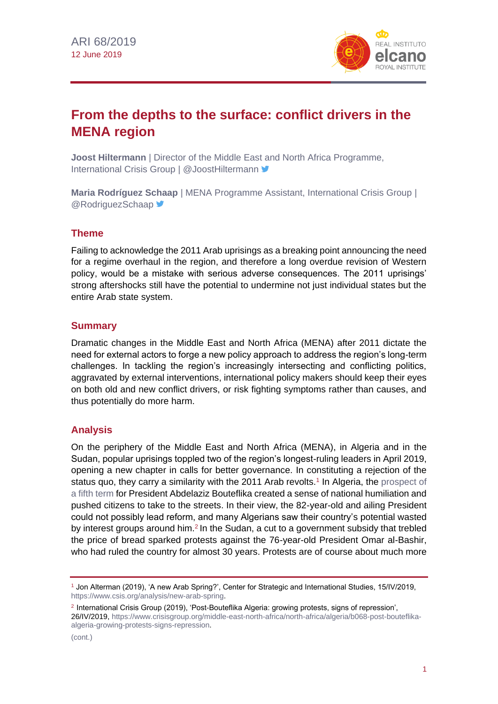

# **From the depths to the surface: conflict drivers in the MENA region**

**Joost Hiltermann** | Director of the Middle East and North Africa Programme, International Crisis Group | @JoostHiltermann <sup>▼</sup>

**Maria Rodríguez Schaap** | MENA Programme Assistant, International Crisis Group | **@RodriguezSchaap** 

# **Theme**

Failing to acknowledge the 2011 Arab uprisings as a breaking point announcing the need for a regime overhaul in the region, and therefore a long overdue revision of Western policy, would be a mistake with serious adverse consequences. The 2011 uprisings' strong aftershocks still have the potential to undermine not just individual states but the entire Arab state system.

#### **Summary**

Dramatic changes in the Middle East and North Africa (MENA) after 2011 dictate the need for external actors to forge a new policy approach to address the region's long-term challenges. In tackling the region's increasingly intersecting and conflicting politics, aggravated by external interventions, international policy makers should keep their eyes on both old and new conflict drivers, or risk fighting symptoms rather than causes, and thus potentially do more harm.

#### **Analysis**

On the periphery of the Middle East and North Africa (MENA), in Algeria and in the Sudan, popular uprisings toppled two of the region's longest-ruling leaders in April 2019, opening a new chapter in calls for better governance. In constituting a rejection of the status quo, they carry a similarity with the 2011 Arab revolts.<sup>1</sup> In Algeria, the prospect of [a fifth term](http://www.realinstitutoelcano.org/wps/portal/rielcano_en/contenido?WCM_GLOBAL_CONTEXT=/elcano/elcano_in/zonas_in/ari128-2018-escribano-algerian-presidential-elections-energy-reform-agenda) for President Abdelaziz Bouteflika created a sense of national humiliation and pushed citizens to take to the streets. In their view, the 82-year-old and ailing President could not possibly lead reform, and many Algerians saw their country's potential wasted by interest groups around him.<sup>2</sup> In the Sudan, a cut to a government subsidy that trebled the price of bread sparked protests against the 76-year-old President Omar al-Bashir, who had ruled the country for almost 30 years. Protests are of course about much more

<sup>1</sup> Jon Alterman (2019), 'A new Arab Spring?', Center for Strategic and International Studies, 15/IV/2019, [https://www.csis.org/analysis/new-arab-spring.](https://www.csis.org/analysis/new-arab-spring)

<sup>2</sup> International Crisis Group (2019), 'Post-Bouteflika Algeria: growing protests, signs of repression', 26/IV/2019[, https://www.crisisgroup.org/middle-east-north-africa/north-africa/algeria/b068-post-bouteflika](https://www.crisisgroup.org/middle-east-north-africa/north-africa/algeria/b068-post-bouteflika-algeria-growing-protests-signs-repression)[algeria-growing-protests-signs-repression.](https://www.crisisgroup.org/middle-east-north-africa/north-africa/algeria/b068-post-bouteflika-algeria-growing-protests-signs-repression)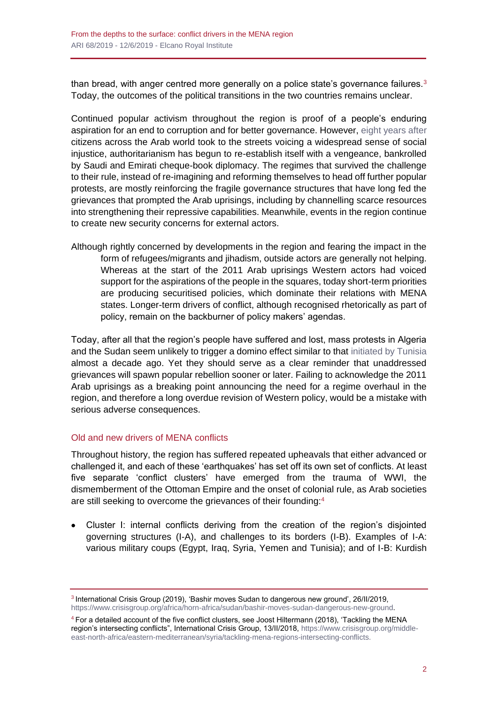than bread, with anger centred more generally on a police state's governance failures.<sup>3</sup> Today, the outcomes of the political transitions in the two countries remains unclear.

Continued popular activism throughout the region is proof of a people's enduring aspiration for an end to corruption and for better governance. However, [eight years after](https://blog.realinstitutoelcano.org/dejemos-en-paz-la-primavera-arabe/) citizens across the Arab world took to the streets voicing a widespread sense of social injustice, authoritarianism has begun to re-establish itself with a vengeance, bankrolled by Saudi and Emirati cheque-book diplomacy. The regimes that survived the challenge to their rule, instead of re-imagining and reforming themselves to head off further popular protests, are mostly reinforcing the fragile governance structures that have long fed the grievances that prompted the Arab uprisings, including by channelling scarce resources into strengthening their repressive capabilities. Meanwhile, events in the region continue to create new security concerns for external actors.

Although rightly concerned by developments in the region and fearing the impact in the form of refugees/migrants and jihadism, outside actors are generally not helping. Whereas at the start of the 2011 Arab uprisings Western actors had voiced support for the aspirations of the people in the squares, today short-term priorities are producing securitised policies, which dominate their relations with MENA states. Longer-term drivers of conflict, although recognised rhetorically as part of policy, remain on the backburner of policy makers' agendas.

Today, after all that the region's people have suffered and lost, mass protests in Algeria and the Sudan seem unlikely to trigger a domino effect similar to that [initiated by Tunisia](http://www.realinstitutoelcano.org/wps/portal/rielcano_es/contenido?WCM_GLOBAL_CONTEXT=/elcano/elcano_es/zonas_es/ari24-2018-escribano-dos-brechas-expectativas-economicas-transicion-tunez) almost a decade ago. Yet they should serve as a clear reminder that unaddressed grievances will spawn popular rebellion sooner or later. Failing to acknowledge the 2011 Arab uprisings as a breaking point announcing the need for a regime overhaul in the region, and therefore a long overdue revision of Western policy, would be a mistake with serious adverse consequences.

#### Old and new drivers of MENA conflicts

Throughout history, the region has suffered repeated upheavals that either advanced or challenged it, and each of these 'earthquakes' has set off its own set of conflicts. At least five separate 'conflict clusters' have emerged from the trauma of WWI, the dismemberment of the Ottoman Empire and the onset of colonial rule, as Arab societies are still seeking to overcome the grievances of their founding:<sup>4</sup>

• Cluster I: internal conflicts deriving from the creation of the region's disjointed governing structures (I-A), and challenges to its borders (I-B). Examples of I-A: various military coups (Egypt, Iraq, Syria, Yemen and Tunisia); and of I-B: Kurdish

<sup>3</sup> International Crisis Group (2019), 'Bashir moves Sudan to dangerous new ground', 26/II/2019, [https://www.crisisgroup.org/africa/horn-africa/sudan/bashir-moves-sudan-dangerous-new-ground.](https://www.crisisgroup.org/africa/horn-africa/sudan/bashir-moves-sudan-dangerous-new-ground)

<sup>4</sup> For a detailed account of the five conflict clusters, see Joost Hiltermann (2018), 'Tackling the MENA region's intersecting conflicts", International Crisis Group, 13/II/2018, [https://www.crisisgroup.org/middle](https://www.crisisgroup.org/middle-east-north-africa/eastern-mediterranean/syria/tackling-mena-regions-intersecting-conflicts)[east-north-africa/eastern-mediterranean/syria/tackling-mena-regions-intersecting-conflicts.](https://www.crisisgroup.org/middle-east-north-africa/eastern-mediterranean/syria/tackling-mena-regions-intersecting-conflicts)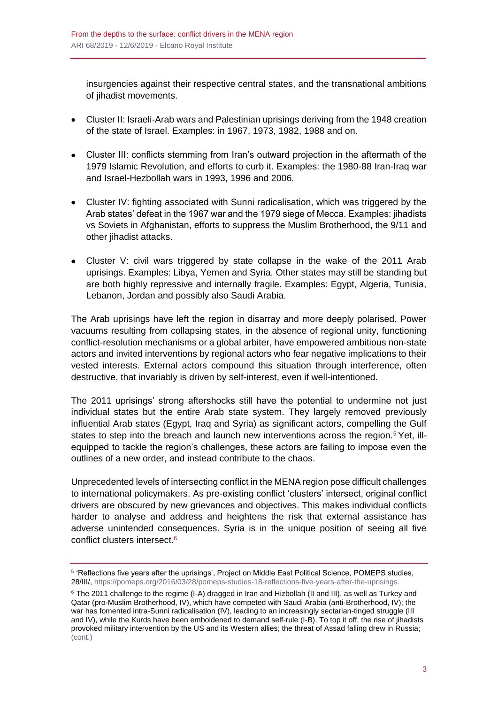insurgencies against their respective central states, and the transnational ambitions of jihadist movements.

- Cluster II: Israeli-Arab wars and Palestinian uprisings deriving from the 1948 creation of the state of Israel. Examples: in 1967, 1973, 1982, 1988 and on.
- Cluster III: conflicts stemming from Iran's outward projection in the aftermath of the 1979 Islamic Revolution, and efforts to curb it. Examples: the 1980-88 Iran-Iraq war and Israel-Hezbollah wars in 1993, 1996 and 2006.
- Cluster IV: fighting associated with Sunni radicalisation, which was triggered by the Arab states' defeat in the 1967 war and the 1979 siege of Mecca. Examples: jihadists vs Soviets in Afghanistan, efforts to suppress the Muslim Brotherhood, the 9/11 and other jihadist attacks.
- Cluster V: civil wars triggered by state collapse in the wake of the 2011 Arab uprisings. Examples: Libya, Yemen and Syria. Other states may still be standing but are both highly repressive and internally fragile. Examples: Egypt, Algeria, Tunisia, Lebanon, Jordan and possibly also Saudi Arabia.

The Arab uprisings have left the region in disarray and more deeply polarised. Power vacuums resulting from collapsing states, in the absence of regional unity, functioning conflict-resolution mechanisms or a global arbiter, have empowered ambitious non-state actors and invited interventions by regional actors who fear negative implications to their vested interests. External actors compound this situation through interference, often destructive, that invariably is driven by self-interest, even if well-intentioned.

The 2011 uprisings' strong aftershocks still have the potential to undermine not just individual states but the entire Arab state system. They largely removed previously influential Arab states (Egypt, Iraq and Syria) as significant actors, compelling the Gulf states to step into the breach and launch new interventions across the region.<sup>5</sup> Yet, illequipped to tackle the region's challenges, these actors are failing to impose even the outlines of a new order, and instead contribute to the chaos.

Unprecedented levels of intersecting conflict in the MENA region pose difficult challenges to international policymakers. As pre-existing conflict 'clusters' intersect, original conflict drivers are obscured by new grievances and objectives. This makes individual conflicts harder to analyse and address and heightens the risk that external assistance has adverse unintended consequences. Syria is in the unique position of seeing all five conflict clusters intersect.<sup>6</sup>

<sup>&</sup>lt;sup>5</sup> 'Reflections five years after the uprisings', Project on Middle East Political Science, POMEPS studies, 28/III/[, https://pomeps.org/2016/03/28/pomeps-studies-18-reflections-five-years-after-the-uprisings.](https://pomeps.org/2016/03/28/pomeps-studies-18-reflections-five-years-after-the-uprisings)

<sup>&</sup>lt;sup>6</sup> The 2011 challenge to the regime (I-A) dragged in Iran and Hizbollah (II and III), as well as Turkey and Qatar (pro-Muslim Brotherhood, IV), which have competed with Saudi Arabia (anti-Brotherhood, IV); the war has fomented intra-Sunni radicalisation (IV), leading to an increasingly sectarian-tinged struggle (III and IV), while the Kurds have been emboldened to demand self-rule (I-B). To top it off, the rise of jihadists provoked military intervention by the US and its Western allies; the threat of Assad falling drew in Russia; (cont.)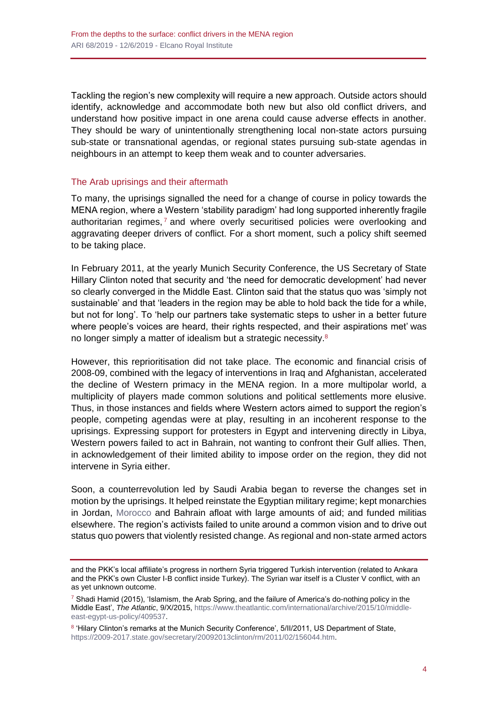Tackling the region's new complexity will require a new approach. Outside actors should identify, acknowledge and accommodate both new but also old conflict drivers, and understand how positive impact in one arena could cause adverse effects in another. They should be wary of unintentionally strengthening local non-state actors pursuing sub-state or transnational agendas, or regional states pursuing sub-state agendas in neighbours in an attempt to keep them weak and to counter adversaries.

## The Arab uprisings and their aftermath

To many, the uprisings signalled the need for a change of course in policy towards the MENA region, where a Western 'stability paradigm' had long supported inherently fragile authoritarian regimes, $<sup>7</sup>$  and where overly securitised policies were overlooking and</sup> aggravating deeper drivers of conflict. For a short moment, such a policy shift seemed to be taking place.

In February 2011, at the yearly Munich Security Conference, the US Secretary of State Hillary Clinton noted that security and 'the need for democratic development' had never so clearly converged in the Middle East. Clinton said that the status quo was 'simply not sustainable' and that 'leaders in the region may be able to hold back the tide for a while, but not for long'. To 'help our partners take systematic steps to usher in a better future where people's voices are heard, their rights respected, and their aspirations met' was no longer simply a matter of idealism but a strategic necessity.<sup>8</sup>

However, this reprioritisation did not take place. The economic and financial crisis of 2008-09, combined with the legacy of interventions in Iraq and Afghanistan, accelerated the decline of Western primacy in the MENA region. In a more multipolar world, a multiplicity of players made common solutions and political settlements more elusive. Thus, in those instances and fields where Western actors aimed to support the region's people, competing agendas were at play, resulting in an incoherent response to the uprisings. Expressing support for protesters in Egypt and intervening directly in Libya, Western powers failed to act in Bahrain, not wanting to confront their Gulf allies. Then, in acknowledgement of their limited ability to impose order on the region, they did not intervene in Syria either.

Soon, a counterrevolution led by Saudi Arabia began to reverse the changes set in motion by the uprisings. It helped reinstate the Egyptian military regime; kept monarchies in Jordan, [Morocco](http://www.realinstitutoelcano.org/wps/portal/rielcano_en/contenido?WCM_GLOBAL_CONTEXT=/elcano/elcano_in/zonas_in/commentary-amrani-morocco-singular-path-troubled-region) and Bahrain afloat with large amounts of aid; and funded militias elsewhere. The region's activists failed to unite around a common vision and to drive out status quo powers that violently resisted change. As regional and non-state armed actors

and the PKK's local affiliate's progress in northern Syria triggered Turkish intervention (related to Ankara and the PKK's own Cluster I-B conflict inside Turkey). The Syrian war itself is a Cluster V conflict, with an as yet unknown outcome.

 $7$  Shadi Hamid (2015), 'Islamism, the Arab Spring, and the failure of America's do-nothing policy in the Middle East', *The Atlantic*, 9/X/2015[, https://www.theatlantic.com/international/archive/2015/10/middle](https://www.theatlantic.com/international/archive/2015/10/middle-east-egypt-us-policy/409537/)[east-egypt-us-policy/409537.](https://www.theatlantic.com/international/archive/2015/10/middle-east-egypt-us-policy/409537/)

<sup>&</sup>lt;sup>8</sup> 'Hilary Clinton's remarks at the Munich Security Conference', 5/II/2011, US Department of State, [https://2009-2017.state.gov/secretary/20092013clinton/rm/2011/02/156044.htm.](https://2009-2017.state.gov/secretary/20092013clinton/rm/2011/02/156044.htm)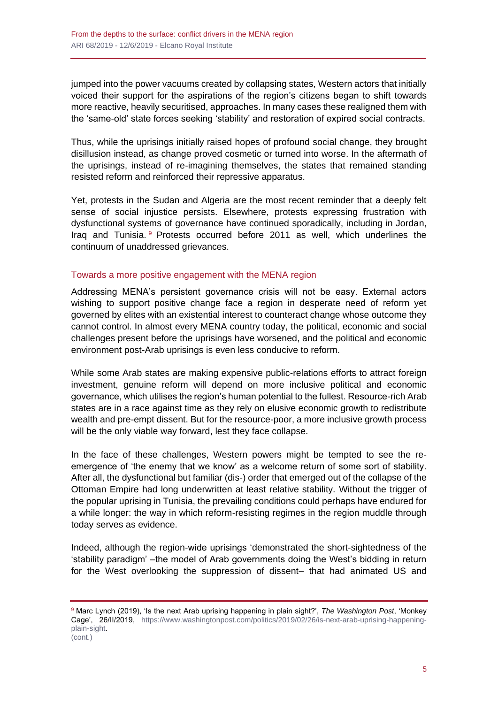jumped into the power vacuums created by collapsing states, Western actors that initially voiced their support for the aspirations of the region's citizens began to shift towards more reactive, heavily securitised, approaches. In many cases these realigned them with the 'same-old' state forces seeking 'stability' and restoration of expired social contracts.

Thus, while the uprisings initially raised hopes of profound social change, they brought disillusion instead, as change proved cosmetic or turned into worse. In the aftermath of the uprisings, instead of re-imagining themselves, the states that remained standing resisted reform and reinforced their repressive apparatus.

Yet, protests in the Sudan and Algeria are the most recent reminder that a deeply felt sense of social injustice persists. Elsewhere, protests expressing frustration with dysfunctional systems of governance have continued sporadically, including in Jordan, Iraq and Tunisia. <sup>9</sup> Protests occurred before 2011 as well, which underlines the continuum of unaddressed grievances.

## Towards a more positive engagement with the MENA region

Addressing MENA's persistent governance crisis will not be easy. External actors wishing to support positive change face a region in desperate need of reform yet governed by elites with an existential interest to counteract change whose outcome they cannot control. In almost every MENA country today, the political, economic and social challenges present before the uprisings have worsened, and the political and economic environment post-Arab uprisings is even less conducive to reform.

While some Arab states are making expensive public-relations efforts to attract foreign investment, genuine reform will depend on more inclusive political and economic governance, which utilises the region's human potential to the fullest. Resource-rich Arab states are in a race against time as they rely on elusive economic growth to redistribute wealth and pre-empt dissent. But for the resource-poor, a more inclusive growth process will be the only viable way forward, lest they face collapse.

In the face of these challenges, Western powers might be tempted to see the reemergence of 'the enemy that we know' as a welcome return of some sort of stability. After all, the dysfunctional but familiar (dis-) order that emerged out of the collapse of the Ottoman Empire had long underwritten at least relative stability. Without the trigger of the popular uprising in Tunisia, the prevailing conditions could perhaps have endured for a while longer: the way in which reform-resisting regimes in the region muddle through today serves as evidence.

Indeed, although the region-wide uprisings 'demonstrated the short-sightedness of the 'stability paradigm' –the model of Arab governments doing the West's bidding in return for the West overlooking the suppression of dissent– that had animated US and

<sup>9</sup> Marc Lynch (2019), 'Is the next Arab uprising happening in plain sight?', *The Washington Post*, 'Monkey Cage', 26/II/2019, [https://www.washingtonpost.com/politics/2019/02/26/is-next-arab-uprising-happening](https://www.washingtonpost.com/politics/2019/02/26/is-next-arab-uprising-happening-plain-sight)[plain-sight.](https://www.washingtonpost.com/politics/2019/02/26/is-next-arab-uprising-happening-plain-sight) (cont.)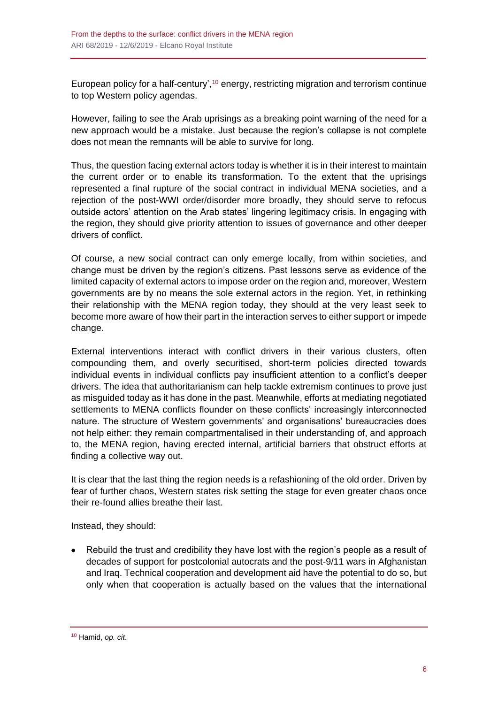European policy for a half-century', $10$  energy, restricting migration and terrorism continue to top Western policy agendas.

However, failing to see the Arab uprisings as a breaking point warning of the need for a new approach would be a mistake. Just because the region's collapse is not complete does not mean the remnants will be able to survive for long.

Thus, the question facing external actors today is whether it is in their interest to maintain the current order or to enable its transformation. To the extent that the uprisings represented a final rupture of the social contract in individual MENA societies, and a rejection of the post-WWI order/disorder more broadly, they should serve to refocus outside actors' attention on the Arab states' lingering legitimacy crisis. In engaging with the region, they should give priority attention to issues of governance and other deeper drivers of conflict.

Of course, a new social contract can only emerge locally, from within societies, and change must be driven by the region's citizens. Past lessons serve as evidence of the limited capacity of external actors to impose order on the region and, moreover, Western governments are by no means the sole external actors in the region. Yet, in rethinking their relationship with the MENA region today, they should at the very least seek to become more aware of how their part in the interaction serves to either support or impede change.

External interventions interact with conflict drivers in their various clusters, often compounding them, and overly securitised, short-term policies directed towards individual events in individual conflicts pay insufficient attention to a conflict's deeper drivers. The idea that authoritarianism can help tackle extremism continues to prove just as misguided today as it has done in the past. Meanwhile, efforts at mediating negotiated settlements to MENA conflicts flounder on these conflicts' increasingly interconnected nature. The structure of Western governments' and organisations' bureaucracies does not help either: they remain compartmentalised in their understanding of, and approach to, the MENA region, having erected internal, artificial barriers that obstruct efforts at finding a collective way out.

It is clear that the last thing the region needs is a refashioning of the old order. Driven by fear of further chaos, Western states risk setting the stage for even greater chaos once their re-found allies breathe their last.

Instead, they should:

• Rebuild the trust and credibility they have lost with the region's people as a result of decades of support for postcolonial autocrats and the post-9/11 wars in Afghanistan and Iraq. Technical cooperation and development aid have the potential to do so, but only when that cooperation is actually based on the values that the international

<sup>10</sup> Hamid, *op. cit*.